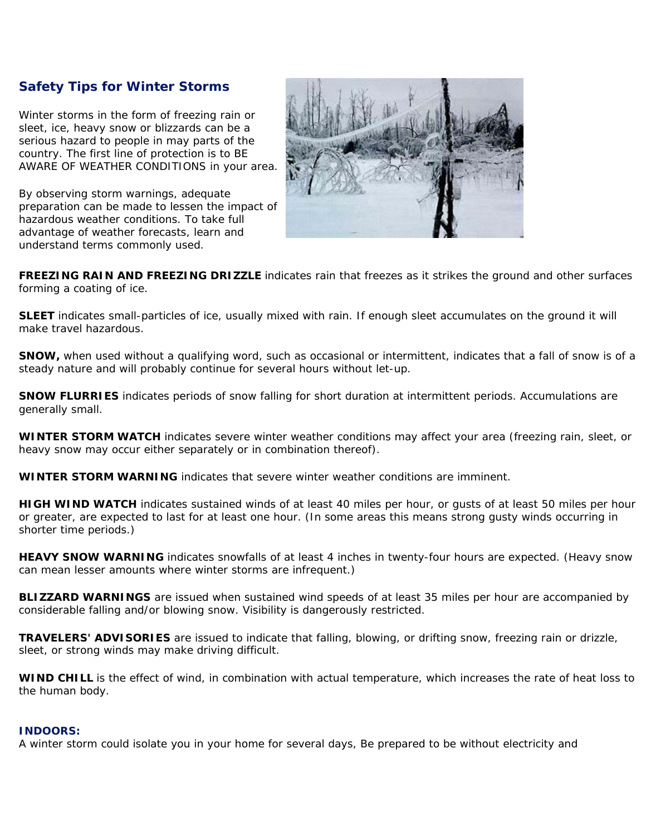# **Safety Tips for Winter Storms**

Winter storms in the form of freezing rain or sleet, ice, heavy snow or blizzards can be a serious hazard to people in may parts of the country. The first line of protection is to BE AWARE OF WEATHER CONDITIONS in your area.

By observing storm warnings, adequate preparation can be made to lessen the impact of hazardous weather conditions. To take full advantage of weather forecasts, learn and understand terms commonly used.



**FREEZING RAIN AND FREEZING DRIZZLE** indicates rain that freezes as it strikes the ground and other surfaces forming a coating of ice.

**SLEET** indicates small-particles of ice, usually mixed with rain. If enough sleet accumulates on the ground it will make travel hazardous.

**SNOW,** when used without a qualifying word, such as occasional or intermittent, indicates that a fall of snow is of a steady nature and will probably continue for several hours without let-up.

**SNOW FLURRIES** indicates periods of snow falling for short duration at intermittent periods. Accumulations are generally small.

**WINTER STORM WATCH** indicates severe winter weather conditions may affect your area (freezing rain, sleet, or heavy snow may occur either separately or in combination thereof).

**WINTER STORM WARNING** indicates that severe winter weather conditions are imminent.

**HIGH WIND WATCH** indicates sustained winds of at least 40 miles per hour, or gusts of at least 50 miles per hour or greater, are expected to last for at least one hour. (In some areas this means strong gusty winds occurring in shorter time periods.)

**HEAVY SNOW WARNING** indicates snowfalls of at least 4 inches in twenty-four hours are expected. (Heavy snow can mean lesser amounts where winter storms are infrequent.)

**BLIZZARD WARNINGS** are issued when sustained wind speeds of at least 35 miles per hour are accompanied by considerable falling and/or blowing snow. Visibility is dangerously restricted.

**TRAVELERS' ADVISORIES** are issued to indicate that falling, blowing, or drifting snow, freezing rain or drizzle, sleet, or strong winds may make driving difficult.

**WIND CHILL** is the effect of wind, in combination with actual temperature, which increases the rate of heat loss to the human body.

## **INDOORS:**

A winter storm could isolate you in your home for several days, Be prepared to be without electricity and